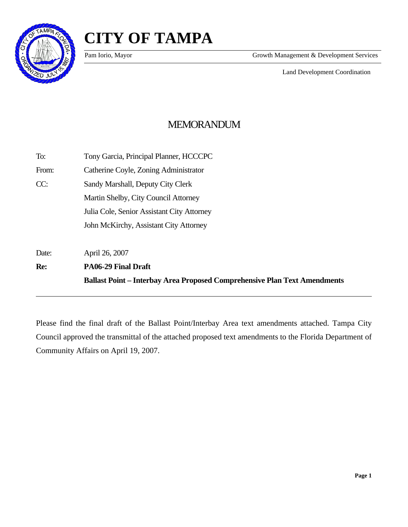

l



Pam Iorio, Mayor Growth Management & Development Services

Land Development Coordination

# MEMORANDUM

|       | <b>Ballast Point – Interbay Area Proposed Comprehensive Plan Text Amendments</b> |
|-------|----------------------------------------------------------------------------------|
| Re:   | <b>PA06-29 Final Draft</b>                                                       |
| Date: | April 26, 2007                                                                   |
|       | John McKirchy, Assistant City Attorney                                           |
|       | Julia Cole, Senior Assistant City Attorney                                       |
|       | Martin Shelby, City Council Attorney                                             |
| CC:   | Sandy Marshall, Deputy City Clerk                                                |
| From: | Catherine Coyle, Zoning Administrator                                            |
| To:   | Tony Garcia, Principal Planner, HCCCPC                                           |

Please find the final draft of the Ballast Point/Interbay Area text amendments attached. Tampa City Council approved the transmittal of the attached proposed text amendments to the Florida Department of Community Affairs on April 19, 2007.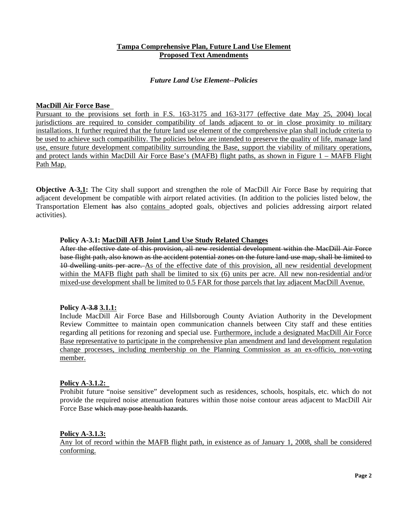## **Tampa Comprehensive Plan, Future Land Use Element Proposed Text Amendments**

## *Future Land Use Element--Policies*

#### **MacDill Air Force Base**

Pursuant to the provisions set forth in F.S. 163-3175 and 163-3177 (effective date May 25, 2004) local jurisdictions are required to consider compatibility of lands adjacent to or in close proximity to military installations. It further required that the future land use element of the comprehensive plan shall include criteria to be used to achieve such compatibility. The policies below are intended to preserve the quality of life, manage land use, ensure future development compatibility surrounding the Base, support the viability of military operations, and protect lands within MacDill Air Force Base's (MAFB) flight paths, as shown in Figure 1 – MAFB Flight Path Map.

**Objective A-3.1:** The City shall support and strengthen the role of MacDill Air Force Base by requiring that adjacent development be compatible with airport related activities. (In addition to the policies listed below, the Transportation Element has also contains adopted goals, objectives and policies addressing airport related activities).

#### **Policy A-3.1: MacDill AFB Joint Land Use Study Related Changes**

After the effective date of this provision, all new residential development within the MacDill Air Force base flight path, also known as the accident potential zones on the future land use map, shall be limited to 10 dwelling units per acre. As of the effective date of this provision, all new residential development within the MAFB flight path shall be limited to six (6) units per acre. All new non-residential and/or mixed-use development shall be limited to 0.5 FAR for those parcels that lay adjacent MacDill Avenue.

## **Policy A-3.8 3.1.1:**

Include MacDill Air Force Base and Hillsborough County Aviation Authority in the Development Review Committee to maintain open communication channels between City staff and these entities regarding all petitions for rezoning and special use. Furthermore, include a designated MacDill Air Force Base representative to participate in the comprehensive plan amendment and land development regulation change processes, including membership on the Planning Commission as an ex-officio, non-voting member.

#### **Policy A-3.1.2:**

Prohibit future "noise sensitive" development such as residences, schools, hospitals, etc. which do not provide the required noise attenuation features within those noise contour areas adjacent to MacDill Air Force Base which may pose health hazards.

#### **Policy A-3.1.3:**

Any lot of record within the MAFB flight path, in existence as of January 1, 2008, shall be considered conforming.